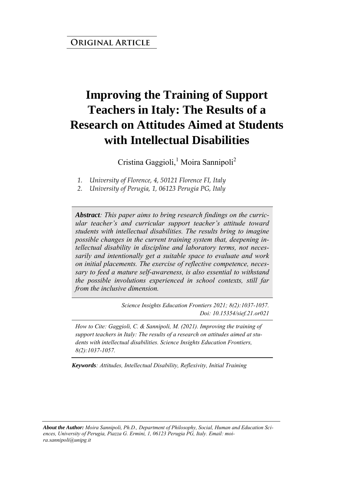# **Improving the Training of Support Teachers in Italy: The Results of a Research on Attitudes Aimed at Students with Intellectual Disabilities**

Cristina Gaggioli,<sup>1</sup> Moira Sannipoli<sup>2</sup>

*1. University of Florence, 4, 50121 Florence FI, Italy* 

*2. University of Perugia, 1, 06123 Perugia PG, Italy* 

*Abstract: This paper aims to bring research findings on the curricular teacher's and curricular support teacher's attitude toward students with intellectual disabilities. The results bring to imagine possible changes in the current training system that, deepening intellectual disability in discipline and laboratory terms, not necessarily and intentionally get a suitable space to evaluate and work on initial placements. The exercise of reflective competence, necessary to feed a mature self-awareness, is also essential to withstand the possible involutions experienced in school contexts, still far from the inclusive dimension.*

> *Science Insights Education Frontiers 2021; 8(2):1037-1057. Doi: 10.15354/sief.21.or021*

*How to Cite: Gaggioli, C. & Sannipoli, M. (2021). Improving the training of support teachers in Italy: The results of a research on attitudes aimed at students with intellectual disabilities. Science Insights Education Frontiers, 8(2):1037-1057.*

*Keywords: Attitudes, Intellectual Disability, Reflexivity, Initial Training* 

*About the Author: Moira Sannipoli, Ph.D., Department of Philosophy, Social, Human and Education Sciences, University of Perugia, Piazza G. Ermini, 1, 06123 Perugia PG, Italy. Email: moira.sannipoli@unipg.it*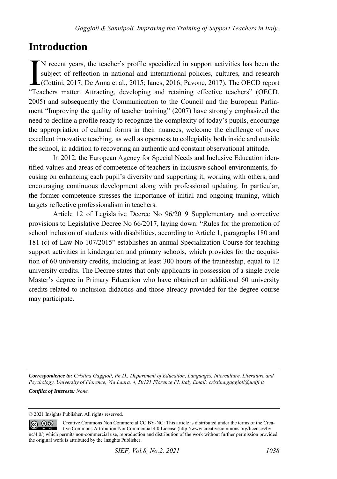## **Introduction**

N recent years, the teacher's profile specialized in support activities has been the subject of reflection in national and international policies, cultures, and research (Cottini, 2017; De Anna et al., 2015; Ianes, 2016; Pavone, 2017). The OECD report I'M recent years, the teacher's profile specialized in support activities has been the subject of reflection in national and international policies, cultures, and research (Cottini, 2017; De Anna et al., 2015; Ianes, 2016; 2005) and subsequently the Communication to the Council and the European Parliament "Improving the quality of teacher training" (2007) have strongly emphasized the need to decline a profile ready to recognize the complexity of today's pupils, encourage the appropriation of cultural forms in their nuances, welcome the challenge of more excellent innovative teaching, as well as openness to collegiality both inside and outside the school, in addition to recovering an authentic and constant observational attitude.

In 2012, the European Agency for Special Needs and Inclusive Education identified values and areas of competence of teachers in inclusive school environments, focusing on enhancing each pupil's diversity and supporting it, working with others, and encouraging continuous development along with professional updating. In particular, the former competence stresses the importance of initial and ongoing training, which targets reflective professionalism in teachers.

Article 12 of Legislative Decree No 96/2019 Supplementary and corrective provisions to Legislative Decree No 66/2017, laying down: "Rules for the promotion of school inclusion of students with disabilities, according to Article 1, paragraphs 180 and 181 (c) of Law No 107/2015" establishes an annual Specialization Course for teaching support activities in kindergarten and primary schools, which provides for the acquisition of 60 university credits, including at least 300 hours of the traineeship, equal to 12 university credits. The Decree states that only applicants in possession of a single cycle Master's degree in Primary Education who have obtained an additional 60 university credits related to inclusion didactics and those already provided for the degree course may participate.

*Correspondence to: Cristina Gaggioli, Ph.D., Department of Education, Languages, Interculture, Literature and Psychology, University of Florence, Via Laura, 4, 50121 Florence FI, Italy Email: cristina.gaggioli@unifi.it Conflict of Interests: None.* 

© 2021 Insights Publisher. All rights reserved.

Creative Commons Non Commercial CC BY-NC: This article is distributed under the terms of the Crea- $0$ tive Commons Attribution-NonCommercial 4.0 License (http://www.creativecommons.org/licenses/bync/4.0/) which permits non-commercial use, reproduction and distribution of the work without further permission provided the original work is attributed by the Insights Publisher.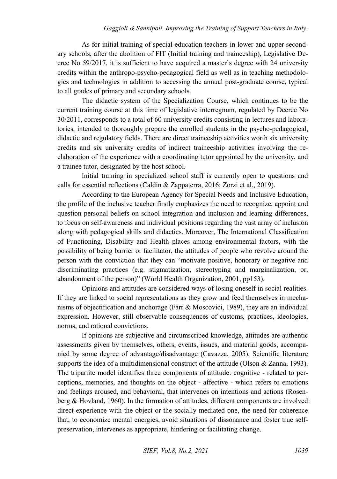As for initial training of special-education teachers in lower and upper secondary schools, after the abolition of FIT (Initial training and traineeship), Legislative Decree No 59/2017, it is sufficient to have acquired a master's degree with 24 university credits within the anthropo-psycho-pedagogical field as well as in teaching methodologies and technologies in addition to accessing the annual post-graduate course, typical to all grades of primary and secondary schools.

The didactic system of the Specialization Course, which continues to be the current training course at this time of legislative interregnum, regulated by Decree No 30/2011, corresponds to a total of 60 university credits consisting in lectures and laboratories, intended to thoroughly prepare the enrolled students in the psycho-pedagogical, didactic and regulatory fields. There are direct traineeship activities worth six university credits and six university credits of indirect traineeship activities involving the reelaboration of the experience with a coordinating tutor appointed by the university, and a trainee tutor, designated by the host school.

Initial training in specialized school staff is currently open to questions and calls for essential reflections (Caldin & Zappaterra, 2016; Zorzi et al., 2019).

According to the European Agency for Special Needs and Inclusive Education, the profile of the inclusive teacher firstly emphasizes the need to recognize, appoint and question personal beliefs on school integration and inclusion and learning differences, to focus on self-awareness and individual positions regarding the vast array of inclusion along with pedagogical skills and didactics. Moreover, The International Classification of Functioning, Disability and Health places among environmental factors, with the possibility of being barrier or facilitator, the attitudes of people who revolve around the person with the conviction that they can "motivate positive, honorary or negative and discriminating practices (e.g. stigmatization, stereotyping and marginalization, or, abandonment of the person)" (World Health Organization, 2001, pp153).

Opinions and attitudes are considered ways of losing oneself in social realities. If they are linked to social representations as they grow and feed themselves in mechanisms of objectification and anchorage (Farr  $\&$  Moscovici, 1989), they are an individual expression. However, still observable consequences of customs, practices, ideologies, norms, and rational convictions.

If opinions are subjective and circumscribed knowledge, attitudes are authentic assessments given by themselves, others, events, issues, and material goods, accompanied by some degree of advantage/disadvantage (Cavazza, 2005). Scientific literature supports the idea of a multidimensional construct of the attitude (Olson & Zanna, 1993). The tripartite model identifies three components of attitude: cognitive - related to perceptions, memories, and thoughts on the object - affective - which refers to emotions and feelings aroused, and behavioral, that intervenes on intentions and actions (Rosenberg & Hovland, 1960). In the formation of attitudes, different components are involved: direct experience with the object or the socially mediated one, the need for coherence that, to economize mental energies, avoid situations of dissonance and foster true selfpreservation, intervenes as appropriate, hindering or facilitating change.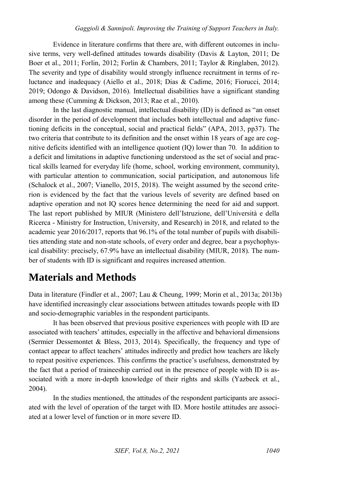Evidence in literature confirms that there are, with different outcomes in inclusive terms, very well-defined attitudes towards disability (Davis & Layton, 2011; De Boer et al., 2011; Forlin, 2012; Forlin & Chambers, 2011; Taylor & Ringlaben, 2012). The severity and type of disability would strongly influence recruitment in terms of reluctance and inadequacy (Aiello et al., 2018; Dias & Cadime, 2016; Fiorucci, 2014; 2019; Odongo & Davidson, 2016). Intellectual disabilities have a significant standing among these (Cumming & Dickson, 2013; Rae et al., 2010).

In the last diagnostic manual, intellectual disability (ID) is defined as "an onset disorder in the period of development that includes both intellectual and adaptive functioning deficits in the conceptual, social and practical fields" (APA, 2013, pp37). The two criteria that contribute to its definition and the onset within 18 years of age are cognitive deficits identified with an intelligence quotient (IQ) lower than 70. In addition to a deficit and limitations in adaptive functioning understood as the set of social and practical skills learned for everyday life (home, school, working environment, community), with particular attention to communication, social participation, and autonomous life (Schalock et al., 2007; Vianello, 2015, 2018). The weight assumed by the second criterion is evidenced by the fact that the various levels of severity are defined based on adaptive operation and not IQ scores hence determining the need for aid and support. The last report published by MIUR (Ministero dell'Istruzione, dell'Università e della Ricerca - Ministry for Instruction, University, and Research) in 2018, and related to the academic year 2016/2017, reports that 96.1% of the total number of pupils with disabilities attending state and non-state schools, of every order and degree, bear a psychophysical disability: precisely, 67.9% have an intellectual disability (MIUR, 2018). The number of students with ID is significant and requires increased attention.

# **Materials and Methods**

Data in literature (Findler et al., 2007; Lau & Cheung, 1999; Morin et al., 2013a; 2013b) have identified increasingly clear associations between attitudes towards people with ID and socio-demographic variables in the respondent participants.

It has been observed that previous positive experiences with people with ID are associated with teachers' attitudes, especially in the affective and behavioral dimensions (Sermier Dessemontet & Bless, 2013, 2014). Specifically, the frequency and type of contact appear to affect teachers' attitudes indirectly and predict how teachers are likely to repeat positive experiences. This confirms the practice's usefulness, demonstrated by the fact that a period of traineeship carried out in the presence of people with ID is associated with a more in-depth knowledge of their rights and skills (Yazbeck et al., 2004).

In the studies mentioned, the attitudes of the respondent participants are associated with the level of operation of the target with ID. More hostile attitudes are associated at a lower level of function or in more severe ID.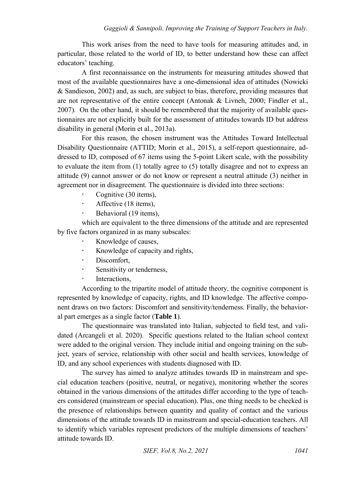This work arises from the need to have tools for measuring attitudes and, in particular, those related to the world of ID, to better understand how these can affect educators' teaching.

A first reconnaissance on the instruments for measuring attitudes showed that most of the available questionnaires have a one-dimensional idea of attitudes (Nowicki & Sandieson, 2002) and, as such, are subject to bias, therefore, providing measures that are not representative of the entire concept (Antonak & Livneh, 2000; Findler et al., 2007). On the other hand, it should be remembered that the majority of available questionnaires are not explicitly built for the assessment of attitudes towards ID but address disability in general (Morin et al., 2013a).

For this reason, the chosen instrument was the Attitudes Toward Intellectual Disability Questionnaire (ATTID; Morin et al., 2015), a self-report questionnaire, addressed to ID, composed of 67 items using the 5-point Likert scale, with the possibility to evaluate the item from (1) totally agree to (5) totally disagree and not to express an attitude (9) cannot answer or do not know or represent a neutral attitude (3) neither in agreement nor in disagreement. The questionnaire is divided into three sections:

- Cognitive (30 items),
- $\cdot$  Affective (18 items).
- $\cdot$  Behavioral (19 items),

which are equivalent to the three dimensions of the attitude and are represented by five factors organized in as many subscales:

- Knowledge of causes,
- Knowledge of capacity and rights,
- · Discomfort,
- Sensitivity or tenderness,
- · Interactions.

According to the tripartite model of attitude theory, the cognitive component is represented by knowledge of capacity, rights, and ID knowledge. The affective component draws on two factors: Discomfort and sensitivity/tenderness. Finally, the behavioral part emerges as a single factor (**Table 1**).

The questionnaire was translated into Italian, subjected to field test, and validated (Arcangeli et al. 2020). Specific questions related to the Italian school context were added to the original version. They include initial and ongoing training on the subject, years of service, relationship with other social and health services, knowledge of ID, and any school experiences with students diagnosed with ID.

The survey has aimed to analyze attitudes towards ID in mainstream and special education teachers (positive, neutral, or negative), monitoring whether the scores obtained in the various dimensions of the attitudes differ according to the type of teachers considered (mainstream or special education). Plus, one thing needs to be checked is the presence of relationships between quantity and quality of contact and the various dimensions of the attitude towards ID in mainstream and special-education teachers. All to identify which variables represent predictors of the multiple dimensions of teachers' attitude towards ID.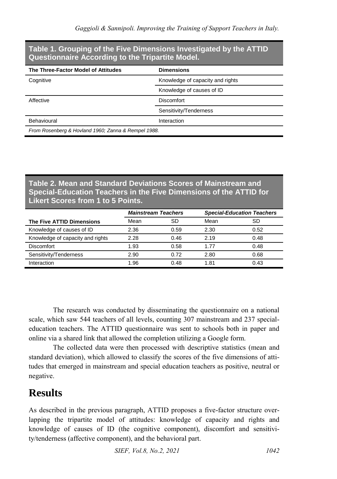#### **Table 1. Grouping of the Five Dimensions Investigated by the ATTID Questionnaire According to the Tripartite Model.**

| The Three-Factor Model of Attitudes                 | <b>Dimensions</b>                |  |
|-----------------------------------------------------|----------------------------------|--|
| Cognitive                                           | Knowledge of capacity and rights |  |
|                                                     | Knowledge of causes of ID        |  |
| Affective                                           | <b>Discomfort</b>                |  |
|                                                     | Sensitivity/Tenderness           |  |
| Behavioural                                         | Interaction                      |  |
| From Rosenberg & Hovland 1960; Zanna & Rempel 1988. |                                  |  |

#### **Table 2. Mean and Standard Deviations Scores of Mainstream and Special-Education Teachers in the Five Dimensions of the ATTID for Likert Scores from 1 to 5 Points.**

|                                  | <b>Mainstream Teachers</b> |      | <b>Special-Education Teachers</b> |      |
|----------------------------------|----------------------------|------|-----------------------------------|------|
| The Five ATTID Dimensions        | Mean                       | SD   | Mean                              | SD   |
| Knowledge of causes of ID        | 2.36                       | 0.59 | 2.30                              | 0.52 |
| Knowledge of capacity and rights | 2.28                       | 0.46 | 2.19                              | 0.48 |
| <b>Discomfort</b>                | 1.93                       | 0.58 | 1.77                              | 0.48 |
| Sensitivity/Tenderness           | 2.90                       | 0.72 | 2.80                              | 0.68 |
| Interaction                      | 1.96                       | 0.48 | 1.81                              | 0.43 |

The research was conducted by disseminating the questionnaire on a national scale, which saw 544 teachers of all levels, counting 307 mainstream and 237 specialeducation teachers. The ATTID questionnaire was sent to schools both in paper and online via a shared link that allowed the completion utilizing a Google form.

The collected data were then processed with descriptive statistics (mean and standard deviation), which allowed to classify the scores of the five dimensions of attitudes that emerged in mainstream and special education teachers as positive, neutral or negative.

## **Results**

As described in the previous paragraph, ATTID proposes a five-factor structure overlapping the tripartite model of attitudes: knowledge of capacity and rights and knowledge of causes of ID (the cognitive component), discomfort and sensitivity/tenderness (affective component), and the behavioral part.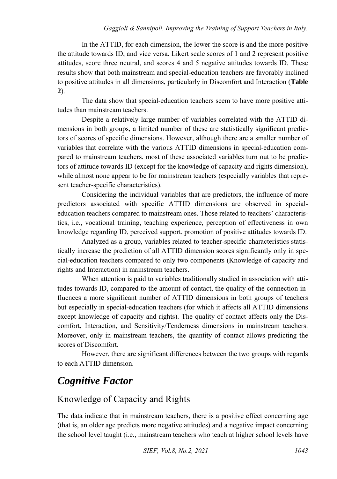In the ATTID, for each dimension, the lower the score is and the more positive the attitude towards ID, and vice versa. Likert scale scores of 1 and 2 represent positive attitudes, score three neutral, and scores 4 and 5 negative attitudes towards ID. These results show that both mainstream and special-education teachers are favorably inclined to positive attitudes in all dimensions, particularly in Discomfort and Interaction (**Table 2**).

The data show that special-education teachers seem to have more positive attitudes than mainstream teachers.

Despite a relatively large number of variables correlated with the ATTID dimensions in both groups, a limited number of these are statistically significant predictors of scores of specific dimensions. However, although there are a smaller number of variables that correlate with the various ATTID dimensions in special-education compared to mainstream teachers, most of these associated variables turn out to be predictors of attitude towards ID (except for the knowledge of capacity and rights dimension), while almost none appear to be for mainstream teachers (especially variables that represent teacher-specific characteristics).

Considering the individual variables that are predictors, the influence of more predictors associated with specific ATTID dimensions are observed in specialeducation teachers compared to mainstream ones. Those related to teachers' characteristics, i.e., vocational training, teaching experience, perception of effectiveness in own knowledge regarding ID, perceived support, promotion of positive attitudes towards ID.

Analyzed as a group, variables related to teacher-specific characteristics statistically increase the prediction of all ATTID dimension scores significantly only in special-education teachers compared to only two components (Knowledge of capacity and rights and Interaction) in mainstream teachers.

When attention is paid to variables traditionally studied in association with attitudes towards ID, compared to the amount of contact, the quality of the connection influences a more significant number of ATTID dimensions in both groups of teachers but especially in special-education teachers (for which it affects all ATTID dimensions except knowledge of capacity and rights). The quality of contact affects only the Discomfort, Interaction, and Sensitivity/Tenderness dimensions in mainstream teachers. Moreover, only in mainstream teachers, the quantity of contact allows predicting the scores of Discomfort.

However, there are significant differences between the two groups with regards to each ATTID dimension.

# *Cognitive Factor*

### Knowledge of Capacity and Rights

The data indicate that in mainstream teachers, there is a positive effect concerning age (that is, an older age predicts more negative attitudes) and a negative impact concerning the school level taught (i.e., mainstream teachers who teach at higher school levels have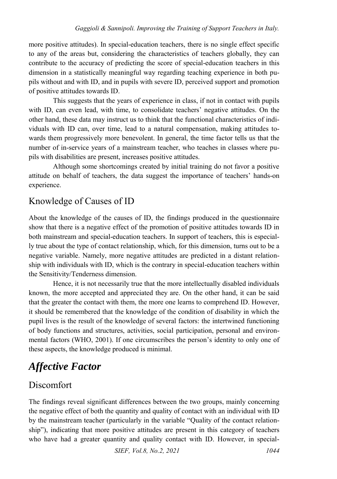more positive attitudes). In special-education teachers, there is no single effect specific to any of the areas but, considering the characteristics of teachers globally, they can contribute to the accuracy of predicting the score of special-education teachers in this dimension in a statistically meaningful way regarding teaching experience in both pupils without and with ID, and in pupils with severe ID, perceived support and promotion of positive attitudes towards ID.

This suggests that the years of experience in class, if not in contact with pupils with ID, can even lead, with time, to consolidate teachers' negative attitudes. On the other hand, these data may instruct us to think that the functional characteristics of individuals with ID can, over time, lead to a natural compensation, making attitudes towards them progressively more benevolent. In general, the time factor tells us that the number of in-service years of a mainstream teacher, who teaches in classes where pupils with disabilities are present, increases positive attitudes.

Although some shortcomings created by initial training do not favor a positive attitude on behalf of teachers, the data suggest the importance of teachers' hands-on experience.

### Knowledge of Causes of ID

About the knowledge of the causes of ID, the findings produced in the questionnaire show that there is a negative effect of the promotion of positive attitudes towards ID in both mainstream and special-education teachers. In support of teachers, this is especially true about the type of contact relationship, which, for this dimension, turns out to be a negative variable. Namely, more negative attitudes are predicted in a distant relationship with individuals with ID, which is the contrary in special-education teachers within the Sensitivity/Tenderness dimension.

Hence, it is not necessarily true that the more intellectually disabled individuals known, the more accepted and appreciated they are. On the other hand, it can be said that the greater the contact with them, the more one learns to comprehend ID. However, it should be remembered that the knowledge of the condition of disability in which the pupil lives is the result of the knowledge of several factors: the intertwined functioning of body functions and structures, activities, social participation, personal and environmental factors (WHO, 2001). If one circumscribes the person's identity to only one of these aspects, the knowledge produced is minimal.

# *Affective Factor*

### Discomfort

The findings reveal significant differences between the two groups, mainly concerning the negative effect of both the quantity and quality of contact with an individual with ID by the mainstream teacher (particularly in the variable "Quality of the contact relationship"), indicating that more positive attitudes are present in this category of teachers who have had a greater quantity and quality contact with ID. However, in special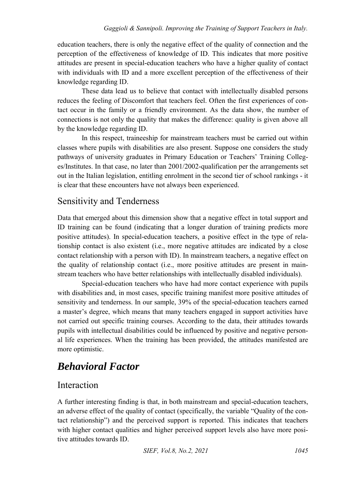education teachers, there is only the negative effect of the quality of connection and the perception of the effectiveness of knowledge of ID. This indicates that more positive attitudes are present in special-education teachers who have a higher quality of contact with individuals with ID and a more excellent perception of the effectiveness of their knowledge regarding ID.

These data lead us to believe that contact with intellectually disabled persons reduces the feeling of Discomfort that teachers feel. Often the first experiences of contact occur in the family or a friendly environment. As the data show, the number of connections is not only the quality that makes the difference: quality is given above all by the knowledge regarding ID.

In this respect, traineeship for mainstream teachers must be carried out within classes where pupils with disabilities are also present. Suppose one considers the study pathways of university graduates in Primary Education or Teachers' Training Colleges/Institutes. In that case, no later than 2001/2002-qualification per the arrangements set out in the Italian legislation, entitling enrolment in the second tier of school rankings - it is clear that these encounters have not always been experienced.

### Sensitivity and Tenderness

Data that emerged about this dimension show that a negative effect in total support and ID training can be found (indicating that a longer duration of training predicts more positive attitudes). In special-education teachers, a positive effect in the type of relationship contact is also existent (i.e., more negative attitudes are indicated by a close contact relationship with a person with ID). In mainstream teachers, a negative effect on the quality of relationship contact (i.e., more positive attitudes are present in mainstream teachers who have better relationships with intellectually disabled individuals).

Special-education teachers who have had more contact experience with pupils with disabilities and, in most cases, specific training manifest more positive attitudes of sensitivity and tenderness. In our sample, 39% of the special-education teachers earned a master's degree, which means that many teachers engaged in support activities have not carried out specific training courses. According to the data, their attitudes towards pupils with intellectual disabilities could be influenced by positive and negative personal life experiences. When the training has been provided, the attitudes manifested are more optimistic.

# *Behavioral Factor*

#### Interaction

A further interesting finding is that, in both mainstream and special-education teachers, an adverse effect of the quality of contact (specifically, the variable "Quality of the contact relationship") and the perceived support is reported. This indicates that teachers with higher contact qualities and higher perceived support levels also have more positive attitudes towards ID.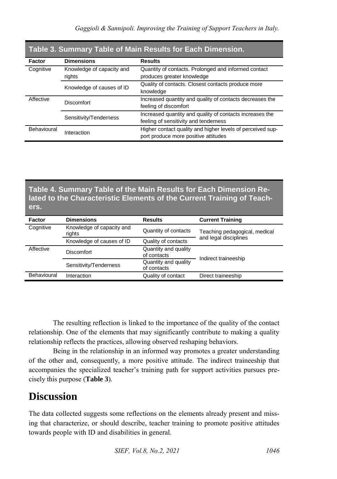| Table 3. Summary Table of Main Results for Each Dimension. |                                     |                                                                                                    |  |
|------------------------------------------------------------|-------------------------------------|----------------------------------------------------------------------------------------------------|--|
| Factor                                                     | <b>Dimensions</b>                   | <b>Results</b>                                                                                     |  |
| Cognitive                                                  | Knowledge of capacity and<br>rights | Quantity of contacts. Prolonged and informed contact<br>produces greater knowledge                 |  |
|                                                            | Knowledge of causes of ID           | Quality of contacts. Closest contacts produce more<br>knowledge                                    |  |
| Affective                                                  | <b>Discomfort</b>                   | Increased quantity and quality of contacts decreases the<br>feeling of discomfort                  |  |
|                                                            | Sensitivity/Tenderness              | Increased quantity and quality of contacts increases the<br>feeling of sensitivity and tenderness  |  |
| <b>Behavioural</b>                                         | Interaction                         | Higher contact quality and higher levels of perceived sup-<br>port produce more positive attitudes |  |

#### **Table 3. Summary Table of Main Results for Each Dimension.**

#### **Table 4. Summary Table of the Main Results for Each Dimension Related to the Characteristic Elements of the Current Training of Teachers.**

| Factor      | <b>Dimensions</b>                   | <b>Results</b>                      | <b>Current Training</b>       |  |
|-------------|-------------------------------------|-------------------------------------|-------------------------------|--|
| Cognitive   | Knowledge of capacity and<br>rights | Quantity of contacts                | Teaching pedagogical, medical |  |
|             | Knowledge of causes of ID           | Quality of contacts                 | and legal disciplines         |  |
| Affective   | Discomfort                          | Quantity and quality<br>of contacts | Indirect traineeship          |  |
|             | Sensitivity/Tenderness              | Quantity and quality<br>of contacts |                               |  |
| Behavioural | Interaction                         | Quality of contact                  | Direct traineeship            |  |

The resulting reflection is linked to the importance of the quality of the contact relationship. One of the elements that may significantly contribute to making a quality relationship reflects the practices, allowing observed reshaping behaviors.

Being in the relationship in an informed way promotes a greater understanding of the other and, consequently, a more positive attitude. The indirect traineeship that accompanies the specialized teacher's training path for support activities pursues precisely this purpose (**Table 3**).

## **Discussion**

The data collected suggests some reflections on the elements already present and missing that characterize, or should describe, teacher training to promote positive attitudes towards people with ID and disabilities in general.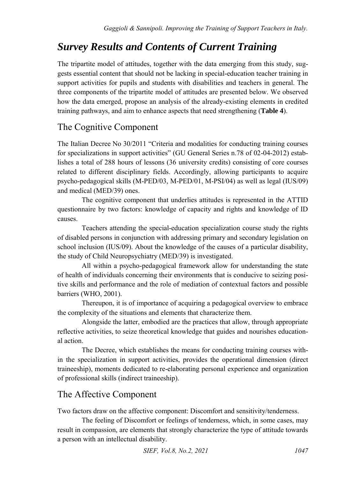# *Survey Results and Contents of Current Training*

The tripartite model of attitudes, together with the data emerging from this study, suggests essential content that should not be lacking in special-education teacher training in support activities for pupils and students with disabilities and teachers in general. The three components of the tripartite model of attitudes are presented below. We observed how the data emerged, propose an analysis of the already-existing elements in credited training pathways, and aim to enhance aspects that need strengthening (**Table 4**).

### The Cognitive Component

The Italian Decree No 30/2011 "Criteria and modalities for conducting training courses for specializations in support activities" (GU General Series n.78 of 02-04-2012) establishes a total of 288 hours of lessons (36 university credits) consisting of core courses related to different disciplinary fields. Accordingly, allowing participants to acquire psycho-pedagogical skills (M-PED/03, M-PED/01, M-PSI/04) as well as legal (IUS/09) and medical (MED/39) ones.

The cognitive component that underlies attitudes is represented in the ATTID questionnaire by two factors: knowledge of capacity and rights and knowledge of ID causes.

Teachers attending the special-education specialization course study the rights of disabled persons in conjunction with addressing primary and secondary legislation on school inclusion (IUS/09). About the knowledge of the causes of a particular disability, the study of Child Neuropsychiatry (MED/39) is investigated.

All within a psycho-pedagogical framework allow for understanding the state of health of individuals concerning their environments that is conducive to seizing positive skills and performance and the role of mediation of contextual factors and possible barriers (WHO, 2001).

Thereupon, it is of importance of acquiring a pedagogical overview to embrace the complexity of the situations and elements that characterize them.

Alongside the latter, embodied are the practices that allow, through appropriate reflective activities, to seize theoretical knowledge that guides and nourishes educational action.

The Decree, which establishes the means for conducting training courses within the specialization in support activities, provides the operational dimension (direct traineeship), moments dedicated to re-elaborating personal experience and organization of professional skills (indirect traineeship).

### The Affective Component

Two factors draw on the affective component: Discomfort and sensitivity/tenderness.

The feeling of Discomfort or feelings of tenderness, which, in some cases, may result in compassion, are elements that strongly characterize the type of attitude towards a person with an intellectual disability.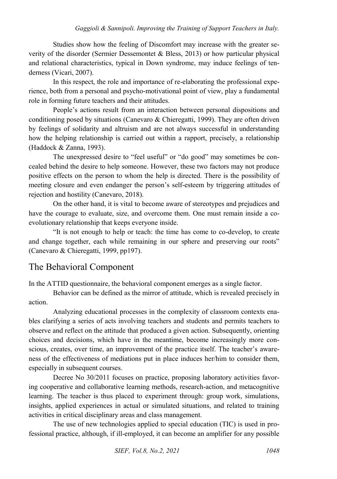Studies show how the feeling of Discomfort may increase with the greater severity of the disorder (Sermier Dessemontet & Bless, 2013) or how particular physical and relational characteristics, typical in Down syndrome, may induce feelings of tenderness (Vicari, 2007).

In this respect, the role and importance of re-elaborating the professional experience, both from a personal and psycho-motivational point of view, play a fundamental role in forming future teachers and their attitudes.

People's actions result from an interaction between personal dispositions and conditioning posed by situations (Canevaro & Chieregatti, 1999). They are often driven by feelings of solidarity and altruism and are not always successful in understanding how the helping relationship is carried out within a rapport, precisely, a relationship (Haddock & Zanna, 1993).

The unexpressed desire to "feel useful" or "do good" may sometimes be concealed behind the desire to help someone. However, these two factors may not produce positive effects on the person to whom the help is directed. There is the possibility of meeting closure and even endanger the person's self-esteem by triggering attitudes of rejection and hostility (Canevaro, 2018).

On the other hand, it is vital to become aware of stereotypes and prejudices and have the courage to evaluate, size, and overcome them. One must remain inside a coevolutionary relationship that keeps everyone inside.

"It is not enough to help or teach: the time has come to co-develop, to create and change together, each while remaining in our sphere and preserving our roots" (Canevaro & Chieregatti, 1999, pp197).

#### The Behavioral Component

In the ATTID questionnaire, the behavioral component emerges as a single factor.

Behavior can be defined as the mirror of attitude, which is revealed precisely in action.

Analyzing educational processes in the complexity of classroom contexts enables clarifying a series of acts involving teachers and students and permits teachers to observe and reflect on the attitude that produced a given action. Subsequently, orienting choices and decisions, which have in the meantime, become increasingly more conscious, creates, over time, an improvement of the practice itself. The teacher's awareness of the effectiveness of mediations put in place induces her/him to consider them, especially in subsequent courses.

Decree No 30/2011 focuses on practice, proposing laboratory activities favoring cooperative and collaborative learning methods, research-action, and metacognitive learning. The teacher is thus placed to experiment through: group work, simulations, insights, applied experiences in actual or simulated situations, and related to training activities in critical disciplinary areas and class management.

The use of new technologies applied to special education (TIC) is used in professional practice, although, if ill-employed, it can become an amplifier for any possible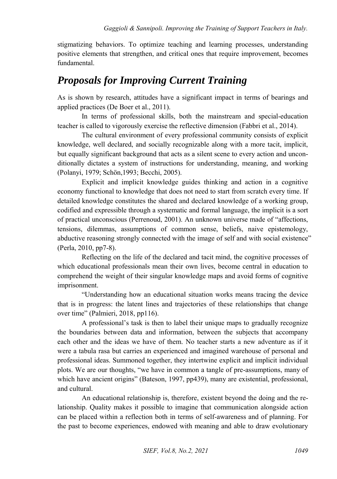stigmatizing behaviors. To optimize teaching and learning processes, understanding positive elements that strengthen, and critical ones that require improvement, becomes fundamental.

## *Proposals for Improving Current Training*

As is shown by research, attitudes have a significant impact in terms of bearings and applied practices (De Boer et al., 2011).

In terms of professional skills, both the mainstream and special-education teacher is called to vigorously exercise the reflective dimension (Fabbri et al., 2014).

The cultural environment of every professional community consists of explicit knowledge, well declared, and socially recognizable along with a more tacit, implicit, but equally significant background that acts as a silent scene to every action and unconditionally dictates a system of instructions for understanding, meaning, and working (Polanyi, 1979; Schön,1993; Becchi, 2005).

Explicit and implicit knowledge guides thinking and action in a cognitive economy functional to knowledge that does not need to start from scratch every time. If detailed knowledge constitutes the shared and declared knowledge of a working group, codified and expressible through a systematic and formal language, the implicit is a sort of practical unconscious (Perrenoud, 2001). An unknown universe made of "affections, tensions, dilemmas, assumptions of common sense, beliefs, naive epistemology, abductive reasoning strongly connected with the image of self and with social existence" (Perla, 2010, pp7-8).

Reflecting on the life of the declared and tacit mind, the cognitive processes of which educational professionals mean their own lives, become central in education to comprehend the weight of their singular knowledge maps and avoid forms of cognitive imprisonment.

"Understanding how an educational situation works means tracing the device that is in progress: the latent lines and trajectories of these relationships that change over time" (Palmieri, 2018, pp116).

A professional's task is then to label their unique maps to gradually recognize the boundaries between data and information, between the subjects that accompany each other and the ideas we have of them. No teacher starts a new adventure as if it were a tabula rasa but carries an experienced and imagined warehouse of personal and professional ideas. Summoned together, they intertwine explicit and implicit individual plots. We are our thoughts, "we have in common a tangle of pre-assumptions, many of which have ancient origins" (Bateson, 1997, pp439), many are existential, professional, and cultural.

An educational relationship is, therefore, existent beyond the doing and the relationship. Quality makes it possible to imagine that communication alongside action can be placed within a reflection both in terms of self-awareness and of planning. For the past to become experiences, endowed with meaning and able to draw evolutionary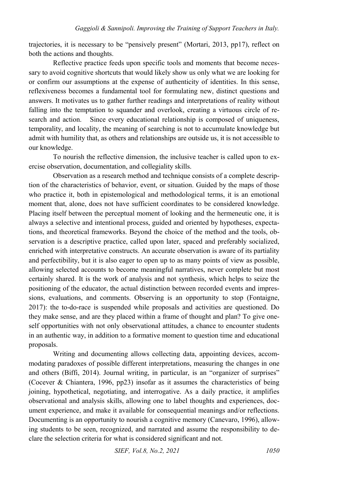trajectories, it is necessary to be "pensively present" (Mortari, 2013, pp17), reflect on both the actions and thoughts.

Reflective practice feeds upon specific tools and moments that become necessary to avoid cognitive shortcuts that would likely show us only what we are looking for or confirm our assumptions at the expense of authenticity of identities. In this sense, reflexiveness becomes a fundamental tool for formulating new, distinct questions and answers. It motivates us to gather further readings and interpretations of reality without falling into the temptation to squander and overlook, creating a virtuous circle of research and action. Since every educational relationship is composed of uniqueness, temporality, and locality, the meaning of searching is not to accumulate knowledge but admit with humility that, as others and relationships are outside us, it is not accessible to our knowledge.

To nourish the reflective dimension, the inclusive teacher is called upon to exercise observation, documentation, and collegiality skills.

Observation as a research method and technique consists of a complete description of the characteristics of behavior, event, or situation. Guided by the maps of those who practice it, both in epistemological and methodological terms, it is an emotional moment that, alone, does not have sufficient coordinates to be considered knowledge. Placing itself between the perceptual moment of looking and the hermeneutic one, it is always a selective and intentional process, guided and oriented by hypotheses, expectations, and theoretical frameworks. Beyond the choice of the method and the tools, observation is a descriptive practice, called upon later, spaced and preferably socialized, enriched with interpretative constructs. An accurate observation is aware of its partiality and perfectibility, but it is also eager to open up to as many points of view as possible, allowing selected accounts to become meaningful narratives, never complete but most certainly shared. It is the work of analysis and not synthesis, which helps to seize the positioning of the educator, the actual distinction between recorded events and impressions, evaluations, and comments. Observing is an opportunity to stop (Fontaigne, 2017): the to-do-race is suspended while proposals and activities are questioned. Do they make sense, and are they placed within a frame of thought and plan? To give oneself opportunities with not only observational attitudes, a chance to encounter students in an authentic way, in addition to a formative moment to question time and educational proposals.

Writing and documenting allows collecting data, appointing devices, accommodating paradoxes of possible different interpretations, measuring the changes in one and others (Biffi, 2014). Journal writing, in particular, is an "organizer of surprises" (Cocever & Chiantera, 1996, pp23) insofar as it assumes the characteristics of being joining, hypothetical, negotiating, and interrogative. As a daily practice, it amplifies observational and analysis skills, allowing one to label thoughts and experiences, document experience, and make it available for consequential meanings and/or reflections. Documenting is an opportunity to nourish a cognitive memory (Canevaro, 1996), allowing students to be seen, recognized, and narrated and assume the responsibility to declare the selection criteria for what is considered significant and not.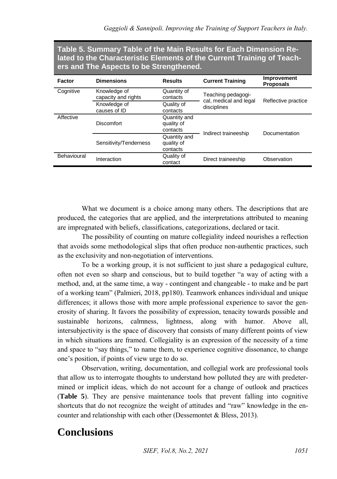**Table 5. Summary Table of the Main Results for Each Dimension Related to the Characteristic Elements of the Current Training of Teachers and The Aspects to be Strengthened.**

| Factor      | <b>Dimensions</b>                   | <b>Results</b>                         | <b>Current Training</b>                      | Improvement<br><b>Proposals</b> |
|-------------|-------------------------------------|----------------------------------------|----------------------------------------------|---------------------------------|
| Cognitive   | Knowledge of<br>capacity and rights | Quantity of<br>contacts                | Teaching pedagogi-<br>cal, medical and legal | Reflective practice             |
|             | Knowledge of<br>causes of ID        | Quality of<br>contacts                 | disciplines                                  |                                 |
| Affective   | <b>Discomfort</b>                   | Quantity and<br>quality of<br>contacts | Indirect traineeship                         | Documentation                   |
|             | Sensitivity/Tenderness              | Quantity and<br>quality of<br>contacts |                                              |                                 |
| Behavioural | Interaction                         | Quality of<br>contact                  | Direct traineeship                           | Observation                     |

What we document is a choice among many others. The descriptions that are produced, the categories that are applied, and the interpretations attributed to meaning are impregnated with beliefs, classifications, categorizations, declared or tacit.

The possibility of counting on mature collegiality indeed nourishes a reflection that avoids some methodological slips that often produce non-authentic practices, such as the exclusivity and non-negotiation of interventions.

To be a working group, it is not sufficient to just share a pedagogical culture, often not even so sharp and conscious, but to build together "a way of acting with a method, and, at the same time, a way - contingent and changeable - to make and be part of a working team" (Palmieri, 2018, pp180). Teamwork enhances individual and unique differences; it allows those with more ample professional experience to savor the generosity of sharing. It favors the possibility of expression, tenacity towards possible and sustainable horizons, calmness, lightness, along with humor. Above all, intersubjectivity is the space of discovery that consists of many different points of view in which situations are framed. Collegiality is an expression of the necessity of a time and space to "say things," to name them, to experience cognitive dissonance, to change one's position, if points of view urge to do so.

Observation, writing, documentation, and collegial work are professional tools that allow us to interrogate thoughts to understand how polluted they are with predetermined or implicit ideas, which do not account for a change of outlook and practices (**Table 5**). They are pensive maintenance tools that prevent falling into cognitive shortcuts that do not recognize the weight of attitudes and "raw" knowledge in the encounter and relationship with each other (Dessemontet & Bless, 2013).

## **Conclusions**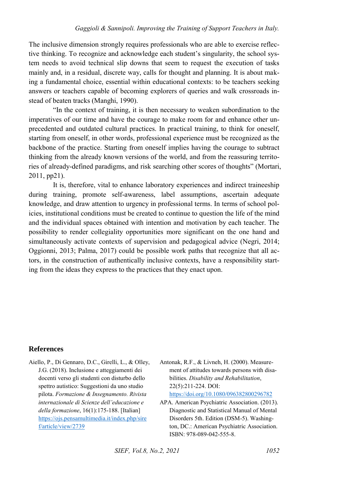The inclusive dimension strongly requires professionals who are able to exercise reflective thinking. To recognize and acknowledge each student's singularity, the school system needs to avoid technical slip downs that seem to request the execution of tasks mainly and, in a residual, discrete way, calls for thought and planning. It is about making a fundamental choice, essential within educational contexts: to be teachers seeking answers or teachers capable of becoming explorers of queries and walk crossroads instead of beaten tracks (Manghi, 1990).

"In the context of training, it is then necessary to weaken subordination to the imperatives of our time and have the courage to make room for and enhance other unprecedented and outdated cultural practices. In practical training, to think for oneself, starting from oneself, in other words, professional experience must be recognized as the backbone of the practice. Starting from oneself implies having the courage to subtract thinking from the already known versions of the world, and from the reassuring territories of already-defined paradigms, and risk searching other scores of thoughts" (Mortari, 2011, pp21).

It is, therefore, vital to enhance laboratory experiences and indirect traineeship during training, promote self-awareness, label assumptions, ascertain adequate knowledge, and draw attention to urgency in professional terms. In terms of school policies, institutional conditions must be created to continue to question the life of the mind and the individual spaces obtained with intention and motivation by each teacher. The possibility to render collegiality opportunities more significant on the one hand and simultaneously activate contexts of supervision and pedagogical advice (Negri, 2014; Oggionni, 2013; Palma, 2017) could be possible work paths that recognize that all actors, in the construction of authentically inclusive contexts, have a responsibility starting from the ideas they express to the practices that they enact upon.

#### **References**

- Aiello, P., Di Gennaro, D.C., Girelli, L., & Olley, J.G. (2018). Inclusione e atteggiamenti dei docenti verso gli studenti con disturbo dello spettro autistico: Suggestioni da uno studio pilota. *Formazione & Insegnamento. Rivista internazionale di Scienze dell'educazione e della formazione*, 16(1):175-188. [Italian] [https://ojs.pensamultimedia.it/index.php/sire](https://ojs.pensamultimedia.it/index.php/siref/article/view/2739) [f/article/view/2739](https://ojs.pensamultimedia.it/index.php/siref/article/view/2739)
- Antonak, R.F., & Livneh, H. (2000). Measurement of attitudes towards persons with disabilities. *Disability and Rehabilitation*, 22(5):211-224. DOI: <https://doi.org/10.1080/096382800296782>
- APA. American Psychiatric Association. (2013). Diagnostic and Statistical Manual of Mental Disorders 5th. Edition (DSM-5). Washington, DC.: American Psychiatric Association. ISBN: 978-089-042-555-8.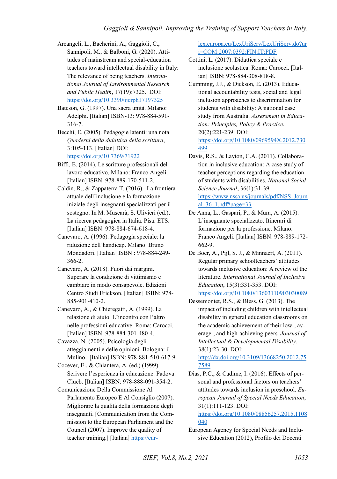- Arcangeli, L., Bacherini, A., Gaggioli, C., Sannipoli, M., & Balboni, G. (2020). Attitudes of mainstream and special-education teachers toward intellectual disability in Italy: The relevance of being teachers. *International Journal of Environmental Research and Public Health*, 17(19):7325. DOI: <https://doi.org/10.3390/ijerph17197325>
- Bateson, G. (1997). Una sacra unità. Milano: Adelphi. [Italian] ISBN-13: 978-884-591- 316-7.
- Becchi, E. (2005). Pedagogie latenti: una nota. *Quaderni della didattica della scrittura*, 3:105-113. [Italian] DOI: <https://doi.org/10.7369/71922>
- Biffi, E. (2014). Le scritture professionali del lavoro educativo. Milano: Franco Angeli. [Italian] ISBN: 978-889-170-511-2.
- Caldin, R., & Zappaterra T. (2016). La frontiera attuale dell'inclusione e la formazione iniziale degli insegnanti specializzati per il sostegno. In M. Muscarà, S. Ulivieri (ed.), La ricerca pedagogica in Italia. Pisa: ETS. [Italian] ISBN: 978-884-674-618-4.
- Canevaro, A. (1996). Pedagogia speciale: la riduzione dell'handicap. Milano: Bruno Mondadori. [Italian] ISBN : 978-884-249- 366-2.
- Canevaro, A. (2018). Fuori dai margini. Superare la condizione di vittimismo e cambiare in modo consapevole. Edizioni Centro Studi Erickson. [Italian] ISBN: 978- 885-901-410-2.
- Canevaro, A., & Chieregatti, A. (1999). La relazione di aiuto. L'incontro con l'altro nelle professioni educative. Roma: Carocci. [Italian] ISBN: 978-884-301-480-4.
- Cavazza, N. (2005). Psicologia degli atteggiamenti e delle opinioni. Bologna: il Mulino. [Italian] ISBN: 978-881-510-617-9.
- Cocever, E., & Chiantera, A. (ed.) (1999). Scrivere l'esperienza in educazione. Padova: Clueb. [Italian] ISBN: 978-888-091-354-2.
- Comunicazione Della Commissione Al Parlamento Europeo E Al Consiglio (2007). Migliorare la qualità della formazione degli insegnanti. [Communication from the Commission to the European Parliament and the Council (2007). Improve the quality of teacher training.] [Italian[\] https://eur-](https://eur-lex.europa.eu/LexUriServ/LexUriServ.do?uri=COM:2007:0392:FIN:IT:PDF)

[lex.europa.eu/LexUriServ/LexUriServ.do?ur](https://eur-lex.europa.eu/LexUriServ/LexUriServ.do?uri=COM:2007:0392:FIN:IT:PDF) [i=COM:2007:0392:FIN:IT:PDF](https://eur-lex.europa.eu/LexUriServ/LexUriServ.do?uri=COM:2007:0392:FIN:IT:PDF) 

- Cottini, L. (2017). Didattica speciale e inclusione scolastica. Roma: Carocci. [Italian] ISBN: 978-884-308-818-8.
- Cumming, J.J., & Dickson, E. (2013). Educational accountability tests, social and legal inclusion approaches to discrimination for students with disability: A national case study from Australia. *Assessment in Education: Principles, Policy & Practice*, 20(2):221-239. DOI: [https://doi.org/10.1080/0969594X.2012.730](https://doi.org/10.1080/0969594X.2012.730499)

[499](https://doi.org/10.1080/0969594X.2012.730499)  Davis, R.S., & Layton, C.A. (2011). Collaboration in inclusive education: A case study of teacher perceptions regarding the education of students with disabilities. *National Social Science Journal*, 36(1):31-39. [https://www.nssa.us/journals/pdf/NSS\\_Journ](https://www.nssa.us/journals/pdf/NSS_Journal_36_1.pdf#page=33) al  $36$  1.pdf#page= $33$ 

- De Anna, L., Gaspari, P., & Mura, A. (2015). L'insegnante specializzato. Itinerari di formazione per la professione. Milano: Franco Angeli. [Italian] ISBN: 978-889-172- 662-9.
- De Boer, A., Pijl, S. J., & Minnaert, A. (2011). Regular primary schoolteachers' attitudes towards inclusive education: A review of the literature. *International Journal of Inclusive Education*, 15(3):331-353. DOI: <https://doi.org/10.1080/13603110903030089>
- Dessemontet, R.S., & Bless, G. (2013). The impact of including children with intellectual disability in general education classrooms on the academic achievement of their low-, average-, and high-achieving peers. *Journal of Intellectual & Developmental Disability*, 38(1):23-30. DOI:

[http://dx.doi.org/10.3109/13668250.2012.75](http://dx.doi.org/10.3109/13668250.2012.757589) [7589](http://dx.doi.org/10.3109/13668250.2012.757589) 

Dias, P.C., & Cadime, I. (2016). Effects of personal and professional factors on teachers' attitudes towards inclusion in preschool. *European Journal of Special Needs Education*, 31(1):111-123. DOI:

[https://doi.org/10.1080/08856257.2015.1108](https://doi.org/10.1080/08856257.2015.1108040) [040](https://doi.org/10.1080/08856257.2015.1108040) 

European Agency for Special Needs and Inclusive Education (2012), Profilo dei Docenti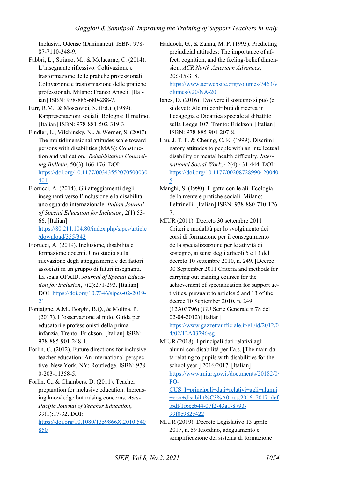Inclusivi. Odense (Danimarca). ISBN: 978- 87-7110-348-9.

- Fabbri, L., Striano, M., & Melacarne, C. (2014). L'insegnante riflessivo. Coltivazione e trasformazione delle pratiche professionali: Coltivazione e trasformazione delle pratiche professionali. Milano: Franco Angeli. [Italian] ISBN: 978-885-680-288-7.
- Farr, R.M., & Moscovici, S. (Ed.). (1989). Rappresentazioni sociali. Bologna: Il mulino. [Italian] ISBN: 978-881-502-319-3.
- Findler, L., Vilchinsky, N., & Werner, S. (2007). The multidimensional attitudes scale toward persons with disabilities (MAS): Construction and validation. *Rehabilitation Counseling Bulletin*, 50(3):166-176. DOI: [https://doi.org/10.1177/00343552070500030](https://doi.org/10.1177/00343552070500030401) [401](https://doi.org/10.1177/00343552070500030401)
- Fiorucci, A. (2014). Gli atteggiamenti degli insegnanti verso l'inclusione e la disabilità: uno sguardo internazionale. *Italian Journal of Special Education for Inclusion*, 2(1):53- 66. [Italian]

[https://80.211.104.80/index.php/sipes/article](https://80.211.104.80/index.php/sipes/article/download/355/342) [/download/355/342](https://80.211.104.80/index.php/sipes/article/download/355/342) 

- Fiorucci, A. (2019). Inclusione, disabilità e formazione docenti. Uno studio sulla rilevazione degli atteggiamenti e dei fattori associati in un gruppo di futuri insegnanti. La scala OFAID. *Journal of Special Education for Inclusion*, 7(2):271-293. [Italian] DOI[: https://doi.org/10.7346/sipes-02-2019-](https://doi.org/10.7346/sipes-02-2019-21) [21](https://doi.org/10.7346/sipes-02-2019-21)
- Fontaigne, A.M., Borghi, B.Q., & Molina, P. (2017). L'osservazione al nido. Guida per educatori e professionisti della prima infanzia. Trento: Erickson. [Italian] ISBN: 978-885-901-248-1.
- Forlin, C. (2012). Future directions for inclusive teacher education: An international perspective. New York, NY: Routledge. ISBN: 978- 0-203-11358-5.

Forlin, C., & Chambers, D. (2011). Teacher preparation for inclusive education: Increasing knowledge but raising concerns. *Asia-Pacific Journal of Teacher Education*, 39(1):17-32. DOI: [https://doi.org/10.1080/1359866X.2010.540](https://doi.org/10.1080/1359866X.2010.540850) [850](https://doi.org/10.1080/1359866X.2010.540850) 

Haddock, G., & Zanna, M. P. (1993). Predicting prejudicial attitudes: The importance of affect, cognition, and the feeling-belief dimension. *ACR North American Advances*, 20:315-318.

[https://www.acrwebsite.org/volumes/7463/v](https://www.acrwebsite.org/volumes/7463/volumes/v20/NA-20) [olumes/v20/NA-20](https://www.acrwebsite.org/volumes/7463/volumes/v20/NA-20) 

- Ianes, D. (2016). Evolvere il sostegno si può (e si deve): Alcuni contributi di ricerca in Pedagogia e Didattica speciale al dibattito sulla Legge 107. Trento: Erickson. [Italian] ISBN: 978-885-901-207-8.
- Lau, J. T. F. & Cheung, C. K. (1999). Discriminatory attitudes to people with an intellectual disability or mental health difficulty. *International Social Work*, 42(4):431-444. DOI: [https://doi.org/10.1177/00208728990420040](https://doi.org/10.1177/002087289904200405) [5](https://doi.org/10.1177/002087289904200405)
- Manghi, S. (1990). Il gatto con le ali. Ecologia della mente e pratiche sociali. Milano: Feltrinelli. [Italian] ISBN: 978-880-710-126- 7.
- MIUR (2011). Decreto 30 settembre 2011 Criteri e modalità per lo svolgimento dei corsi di formazione per il conseguimento della specializzazione per le attività di sostegno, ai sensi degli articoli 5 e 13 del decreto 10 settembre 2010, n. 249. [Decree 30 September 2011 Criteria and methods for carrying out training courses for the achievement of specialization for support activities, pursuant to articles 5 and 13 of the decree 10 September 2010, n. 249.] (12A03796) (GU Serie Generale n.78 del 02-04-2012) [Italian]

[https://www.gazzettaufficiale.it/eli/id/2012/0](https://www.gazzettaufficiale.it/eli/id/2012/04/02/12A03796/sg) [4/02/12A03796/sg](https://www.gazzettaufficiale.it/eli/id/2012/04/02/12A03796/sg) 

MIUR (2018). I principali dati relativi agli alunni con disabilità per l'a.s. [The main data relating to pupils with disabilities for the school year.] 2016/2017. [Italian] [https://www.miur.gov.it/documents/20182/0/](https://www.miur.gov.it/documents/20182/0/FOCUS_I+principali+dati+relativi+agli+alunni+con+disabilit%C3%A0_a.s.2016_2017_def.pdf/1f6eeb44-07f2-43a1-8793-99f0c982e422) [FO-](https://www.miur.gov.it/documents/20182/0/FOCUS_I+principali+dati+relativi+agli+alunni+con+disabilit%C3%A0_a.s.2016_2017_def.pdf/1f6eeb44-07f2-43a1-8793-99f0c982e422)

[CUS\\_I+principali+dati+relativi+agli+alunni](https://www.miur.gov.it/documents/20182/0/FOCUS_I+principali+dati+relativi+agli+alunni+con+disabilit%C3%A0_a.s.2016_2017_def.pdf/1f6eeb44-07f2-43a1-8793-99f0c982e422) [+con+disabilit%C3%A0\\_a.s.2016\\_2017\\_def](https://www.miur.gov.it/documents/20182/0/FOCUS_I+principali+dati+relativi+agli+alunni+con+disabilit%C3%A0_a.s.2016_2017_def.pdf/1f6eeb44-07f2-43a1-8793-99f0c982e422) [.pdf/1f6eeb44-07f2-43a1-8793-](https://www.miur.gov.it/documents/20182/0/FOCUS_I+principali+dati+relativi+agli+alunni+con+disabilit%C3%A0_a.s.2016_2017_def.pdf/1f6eeb44-07f2-43a1-8793-99f0c982e422) [99f0c982e422](https://www.miur.gov.it/documents/20182/0/FOCUS_I+principali+dati+relativi+agli+alunni+con+disabilit%C3%A0_a.s.2016_2017_def.pdf/1f6eeb44-07f2-43a1-8793-99f0c982e422) 

MIUR (2019). Decreto Legislativo 13 aprile 2017, n. 59 Riordino, adeguamento e semplificazione del sistema di formazione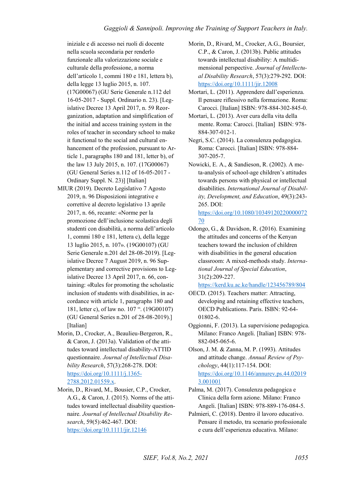iniziale e di accesso nei ruoli di docente nella scuola secondaria per renderlo funzionale alla valorizzazione sociale e culturale della professione, a norma dell'articolo 1, commi 180 e 181, lettera b), della legge 13 luglio 2015, n. 107. (17G00067) (GU Serie Generale n.112 del 16-05-2017 - Suppl. Ordinario n. 23). [Legislative Decree 13 April 2017, n. 59 Reorganization, adaptation and simplification of the initial and access training system in the roles of teacher in secondary school to make it functional to the social and cultural enhancement of the profession, pursuant to Article 1, paragraphs 180 and 181, letter b), of the law 13 July 2015, n. 107. (17G00067) (GU General Series n.112 of 16-05-2017 - Ordinary Suppl. N. 23)] [Italian]

- MIUR (2019). Decreto Legislativo 7 Agosto 2019, n. 96 Disposizioni integrative e correttive al decreto legislativo 13 aprile 2017, n. 66, recante: «Norme per la promozione dell'inclusione scolastica degli studenti con disabilità, a norma dell'articolo 1, commi 180 e 181, lettera c), della legge 13 luglio 2015, n. 107». (19G00107) (GU Serie Generale n.201 del 28-08-2019). [Legislative Decree 7 August 2019, n. 96 Supplementary and corrective provisions to Legislative Decree 13 April 2017, n. 66, containing: «Rules for promoting the scholastic inclusion of students with disabilities, in accordance with article 1, paragraphs 180 and 181, letter c), of law no. 107 ". (19G00107) (GU General Series n.201 of 28-08-2019).] [Italian]
- Morin, D., Crocker, A., Beaulieu-Bergeron, R., & Caron, J. (2013a). Validation of the attitudes toward intellectual disability-ATTID questionnaire. *Journal of Intellectual Disability Research*, 57(3):268-278. DOI: [https://doi.org/10.1111/j.1365-](https://doi.org/10.1111/j.1365-2788.2012.01559.x) [2788.2012.01559.x.](https://doi.org/10.1111/j.1365-2788.2012.01559.x)
- Morin, D., Rivard, M., Bousier, C.P., Crocker, A.G., & Caron, J. (2015). Norms of the attitudes toward intellectual disability questionnaire. *Journal of Intellectual Disability Research*, 59(5):462-467. DOI: <https://doi.org/10.1111/jir.12146>

Morin, D., Rivard, M., Crocker, A.G., Boursier, C.P., & Caron, J. (2013b). Public attitudes towards intellectual disability: A multidimensional perspective. *Journal of Intellectual Disability Research*, 57(3):279-292. DOI: <https://doi.org/10.1111/jir.12008>

Mortari, L. (2011). Apprendere dall'esperienza. Il pensare riflessivo nella formazione. Roma: Carocci. [Italian] ISBN: 978-884-302-845-0.

Mortari, L. (2013). Aver cura della vita della mente. Roma: Carocci. [Italian] ISBN: 978- 884-307-012-1.

Negri, S.C. (2014). La consulenza pedagogica. Roma: Carocci. [Italian] ISBN: 978-884- 307-205-7.

Nowicki, E. A., & Sandieson, R. (2002). A meta-analysis of school-age children's attitudes towards persons with physical or intellectual disabilities. *International Journal of Disability, Development, and Education*, 49(3):243- 265. DOI:

[https://doi.org/10.1080/10349120220000072](https://doi.org/10.1080/1034912022000007270) [70](https://doi.org/10.1080/1034912022000007270) 

Odongo, G., & Davidson, R. (2016). Examining the attitudes and concerns of the Kenyan teachers toward the inclusion of children with disabilities in the general education classroom: A mixed-methods study. *International Journal of Special Education*, 31(2):209-227.

<https://kerd.ku.ac.ke/handle/123456789/804>

- OECD. (2015). Teachers matter: Attracting, developing and retaining effective teachers, OECD Publications. Paris. ISBN: 92-64- 01802-6.
- Oggionni, F. (2013). La supervisione pedagogica. Milano: Franco Angeli. [Italian] ISBN: 978- 882-045-065-6.

Olson, J. M. & Zanna, M. P. (1993). Attitudes and attitude change. *Annual Review of Psychology*, 44(1):117-154. DOI: [https://doi.org/10.1146/annurev.ps.44.02019](https://doi.org/10.1146/annurev.ps.44.020193.001001) [3.001001](https://doi.org/10.1146/annurev.ps.44.020193.001001) 

Palma, M. (2017). Consulenza pedagogica e Clinica della form azione. Milano: Franco Angeli. [Italian] ISBN: 978-889-176-084-5.

Palmieri, C. (2018). Dentro il lavoro educativo. Pensare il metodo, tra scenario professionale e cura dell'esperienza educativa. Milano: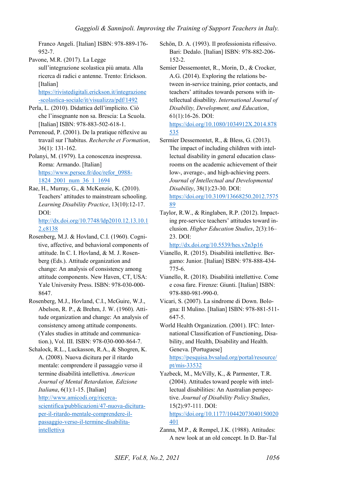Franco Angeli. [Italian] ISBN: 978-889-176- 952-7.

Pavone, M.R. (2017). La Legge sull'integrazione scolastica più amata. Alla ricerca di radici e antenne. Trento: Erickson. [Italian]

[https://rivistedigitali.erickson.it/integrazione](https://rivistedigitali.erickson.it/integrazione-scolastica-sociale/it/visualizza/pdf/1492) [-scolastica-sociale/it/visualizza/pdf/1492](https://rivistedigitali.erickson.it/integrazione-scolastica-sociale/it/visualizza/pdf/1492) 

- Perla, L. (2010). Didattica dell'implicito. Ciò che l'insegnante non sa. Brescia: La Scuola. [Italian] ISBN: 978-883-502-618-1.
- Perrenoud, P. (2001). De la pratique réflexive au travail sur l'habitus. *Recherche et Formation*, 36(1): 131-162.
- Polanyi, M. (1979). La conoscenza inespressa. Roma: Armando. [Italian] [https://www.persee.fr/doc/refor\\_0988-](https://www.persee.fr/doc/refor_0988-1824_2001_num_36_1_1694) [1824\\_2001\\_num\\_36\\_1\\_1694](https://www.persee.fr/doc/refor_0988-1824_2001_num_36_1_1694)
- Rae, H., Murray, G., & McKenzie, K. (2010). Teachers' attitudes to mainstream schooling. *Learning Disability Practice*, 13(10):12-17. DOI:

[http://dx.doi.org/10.7748/ldp2010.12.13.10.1](http://dx.doi.org/10.7748/ldp2010.12.13.10.12.c8138) [2.c8138](http://dx.doi.org/10.7748/ldp2010.12.13.10.12.c8138) 

- Rosenberg, M.J. & Hovland, C.I. (1960). Cognitive, affective, and behavioral components of attitude. In C. I. Hovland, & M. J. Rosenberg (Eds.). Attitude organization and change: An analysis of consistency among attitude components. New Haven, CT, USA: Yale University Press. ISBN: 978-030-000- 8647.
- Rosenberg, M.J., Hovland, C.I., McGuire, W.J., Abelson, R. P., & Brehm, J. W. (1960). Attitude organization and change: An analysis of consistency among attitude components. (Yales studies in attitude and communication.), Vol. III. ISBN: 978-030-000-864-7.
- Schalock, R.L., Luckasson, R.A., & Shogren, K. A. (2008). Nuova dicitura per il ritardo mentale: comprendere il passaggio verso il termine disabilità intellettiva. *American Journal of Mental Retardation, Edizione Italiana*, 6(1):1-15. [Italian] [http://www.amicodi.org/ricerca](http://www.amicodi.org/ricerca-scientifica/pubblicazioni/47-nuova-dicitura-per-il-ritardo-mentale-comprendere-il-passaggio-verso-il-termine-disabilita-intellettiva)[scientifica/pubblicazioni/47-nuova-dicitura](http://www.amicodi.org/ricerca-scientifica/pubblicazioni/47-nuova-dicitura-per-il-ritardo-mentale-comprendere-il-passaggio-verso-il-termine-disabilita-intellettiva)[per-il-ritardo-mentale-comprendere-il](http://www.amicodi.org/ricerca-scientifica/pubblicazioni/47-nuova-dicitura-per-il-ritardo-mentale-comprendere-il-passaggio-verso-il-termine-disabilita-intellettiva)[passaggio-verso-il-termine-disabilita](http://www.amicodi.org/ricerca-scientifica/pubblicazioni/47-nuova-dicitura-per-il-ritardo-mentale-comprendere-il-passaggio-verso-il-termine-disabilita-intellettiva)[intellettiva](http://www.amicodi.org/ricerca-scientifica/pubblicazioni/47-nuova-dicitura-per-il-ritardo-mentale-comprendere-il-passaggio-verso-il-termine-disabilita-intellettiva)
- Schön, D. A. (1993). Il professionista riflessivo. Bari: Dedalo. [Italian] ISBN: 978-882-206- 152-2.
- Semier Dessemontet, R., Morin, D., & Crocker, A.G. (2014). Exploring the relations between in-service training, prior contacts, and teachers' attitudes towards persons with intellectual disability. *International Journal of Disability, Development, and Education*, 61(1):16-26. DOI:

[https://doi.org/10.1080/1034912X.2014.878](https://doi.org/10.1080/1034912X.2014.878535) [535](https://doi.org/10.1080/1034912X.2014.878535) 

Sermier Dessemontet, R., & Bless, G. (2013). The impact of including children with intellectual disability in general education classrooms on the academic achievement of their low-, average-, and high-achieving peers. *Journal of Intellectual and Developmental Disability*, 38(1):23-30. DOI: [https://doi.org/10.3109/13668250.2012.7575](https://doi.org/10.3109/13668250.2012.757589)

[89](https://doi.org/10.3109/13668250.2012.757589) 

Taylor, R.W., & Ringlaben, R.P. (2012). Impacting pre-service teachers' attitudes toward inclusion. *Higher Education Studies*, 2(3):16–  $23$  DOI:

<http://dx.doi.org/10.5539/hes.v2n3p16>

- Vianello, R. (2015). Disabilità intellettive. Bergamo: Junior. [Italian] ISBN: 978-888-434- 775-6.
- Vianello, R. (2018). Disabilità intellettive. Come e cosa fare. Firenze: Giunti. [Italian] ISBN: 978-880-981-990-0.
- Vicari, S. (2007). La sindrome di Down. Bologna: Il Mulino. [Italian] ISBN: 978-881-511- 647-5.
- World Health Organization. (2001). IFC: International Classification of Functioning, Disability, and Health, Disability and Health. Geneva. [Portuguese]

[https://pesquisa.bvsalud.org/portal/resource/](https://pesquisa.bvsalud.org/portal/resource/pt/mis-33532) [pt/mis-33532](https://pesquisa.bvsalud.org/portal/resource/pt/mis-33532) 

Yazbeck, M., McVilly, K., & Parmenter, T.R. (2004). Attitudes toward people with intellectual disabilities: An Australian perspective. *Journal of Disability Policy Studies*, 15(2):97-111. DOI:

[https://doi.org/10.1177/10442073040150020](https://doi.org/10.1177/10442073040150020401) [401](https://doi.org/10.1177/10442073040150020401) 

Zanna, M.P., & Rempel, J.K. (1988). Attitudes: A new look at an old concept. In D. Bar-Tal